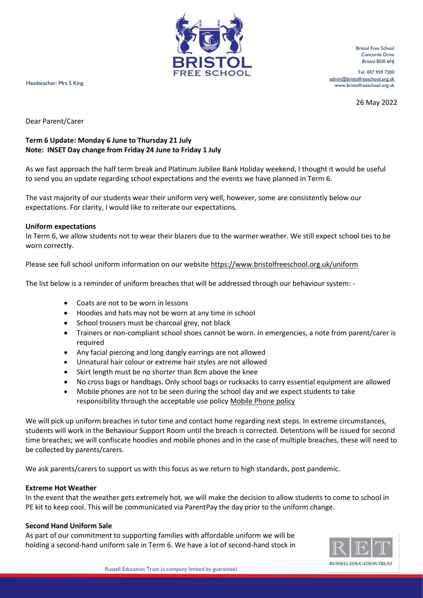

Bristol Free School Concorde Drive Bristol BSI0 6NJ

Tel: 0II7 959 7200 [admin@bristolfreeschool.org.uk](mailto:admin@bristolfreeschool.org.uk) Headteacher: Mrs S King www.bristolfreeschool.org.uk

26 May 2022

Dear Parent/Carer

## **Term 6 Update: Monday 6 June to Thursday 21 July Note: INSET Day change from Friday 24 June to Friday 1 July**

As we fast approach the half term break and Platinum Jubilee Bank Holiday weekend, I thought it would be useful to send you an update regarding school expectations and the events we have planned in Term 6.

The vast majority of our students wear their uniform very well, however, some are consistently below our expectations. For clarity, I would like to reiterate our expectations.

### **Uniform expectations**

In Term 6, we allow students not to wear their blazers due to the warmer weather. We still expect school ties to be worn correctly.

Please see full school uniform information on our websit[e https://www.bristolfreeschool.org.uk/uniform](https://www.bristolfreeschool.org.uk/uniform)

The list below is a reminder of uniform breaches that will be addressed through our behaviour system: -

- Coats are not to be worn in lessons
- Hoodies and hats may not be worn at any time in school
- School trousers must be charcoal grey, not black
- Trainers or non-compliant school shoes cannot be worn. In emergencies, a note from parent/carer is required
- Any facial piercing and long dangly earrings are not allowed
- Unnatural hair colour or extreme hair styles are not allowed
- Skirt length must be no shorter than 8cm above the knee
- No cross bags or handbags. Only school bags or rucksacks to carry essential equipment are allowed
- Mobile phones are not to be seen during the school day and we expect students to take responsibility through the acceptable use policy [Mobile Phone policy](https://www.bristolfreeschool.org.uk/documents/policies/AGREEMENT%20-%20Mobile%20Device%20Acceptable%20Use.pdf)

We will pick up uniform breaches in tutor time and contact home regarding next steps. In extreme circumstances, students will work in the Behaviour Support Room until the breach is corrected. Detentions will be issued for second time breaches; we will confiscate hoodies and mobile phones and in the case of multiple breaches, these will need to be collected by parents/carers.

We ask parents/carers to support us with this focus as we return to high standards, post pandemic.

### **Extreme Hot Weather**

In the event that the weather gets extremely hot, we will make the decision to allow students to come to school in PE kit to keep cool. This will be communicated via ParentPay the day prior to the uniform change.

#### **Second Hand Uniform Sale**

As part of our commitment to supporting families with affordable uniform we will be holding a second-hand uniform sale in Term 6. We have a lot of second-hand stock in

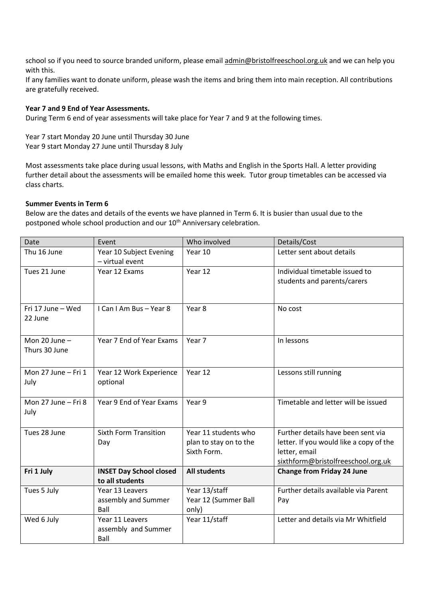school so if you need to source branded uniform, please email [admin@bristolfreeschool.org.uk](mailto:admin@bristolfreeschool.org.uk) and we can help you with this.

If any families want to donate uniform, please wash the items and bring them into main reception. All contributions are gratefully received.

### **Year 7 and 9 End of Year Assessments.**

During Term 6 end of year assessments will take place for Year 7 and 9 at the following times.

Year 7 start Monday 20 June until Thursday 30 June Year 9 start Monday 27 June until Thursday 8 July

Most assessments take place during usual lessons, with Maths and English in the Sports Hall. A letter providing further detail about the assessments will be emailed home this week. Tutor group timetables can be accessed via class charts.

#### **Summer Events in Term 6**

Below are the dates and details of the events we have planned in Term 6. It is busier than usual due to the postponed whole school production and our 10<sup>th</sup> Anniversary celebration.

| Date                | Event                          | Who involved           | Details/Cost                            |
|---------------------|--------------------------------|------------------------|-----------------------------------------|
| Thu 16 June         | Year 10 Subject Evening        | Year 10                | Letter sent about details               |
|                     | - virtual event                |                        |                                         |
| Tues 21 June        | Year 12 Exams                  | Year 12                | Individual timetable issued to          |
|                     |                                |                        | students and parents/carers             |
|                     |                                |                        |                                         |
| Fri 17 June - Wed   | I Can I Am Bus - Year 8        | Year 8                 | No cost                                 |
| 22 June             |                                |                        |                                         |
|                     |                                |                        |                                         |
| Mon $20$ June $-$   | Year 7 End of Year Exams       | Year 7                 | In lessons                              |
| Thurs 30 June       |                                |                        |                                         |
|                     |                                |                        |                                         |
| Mon 27 June - Fri 1 | Year 12 Work Experience        | Year 12                | Lessons still running                   |
| July                | optional                       |                        |                                         |
|                     |                                |                        |                                         |
| Mon 27 June - Fri 8 | Year 9 End of Year Exams       | Year 9                 | Timetable and letter will be issued     |
| July                |                                |                        |                                         |
|                     |                                |                        |                                         |
| Tues 28 June        | <b>Sixth Form Transition</b>   | Year 11 students who   | Further details have been sent via      |
|                     | Day                            | plan to stay on to the | letter. If you would like a copy of the |
|                     |                                | Sixth Form.            | letter, email                           |
|                     |                                |                        | sixthform@bristolfreeschool.org.uk      |
| Fri 1 July          | <b>INSET Day School closed</b> | <b>All students</b>    | <b>Change from Friday 24 June</b>       |
|                     | to all students                |                        |                                         |
| Tues 5 July         | Year 13 Leavers                | Year 13/staff          | Further details available via Parent    |
|                     | assembly and Summer            | Year 12 (Summer Ball   | Pay                                     |
|                     | Ball                           | only)                  |                                         |
| Wed 6 July          | Year 11 Leavers                | Year 11/staff          | Letter and details via Mr Whitfield     |
|                     | assembly and Summer            |                        |                                         |
|                     | Ball                           |                        |                                         |